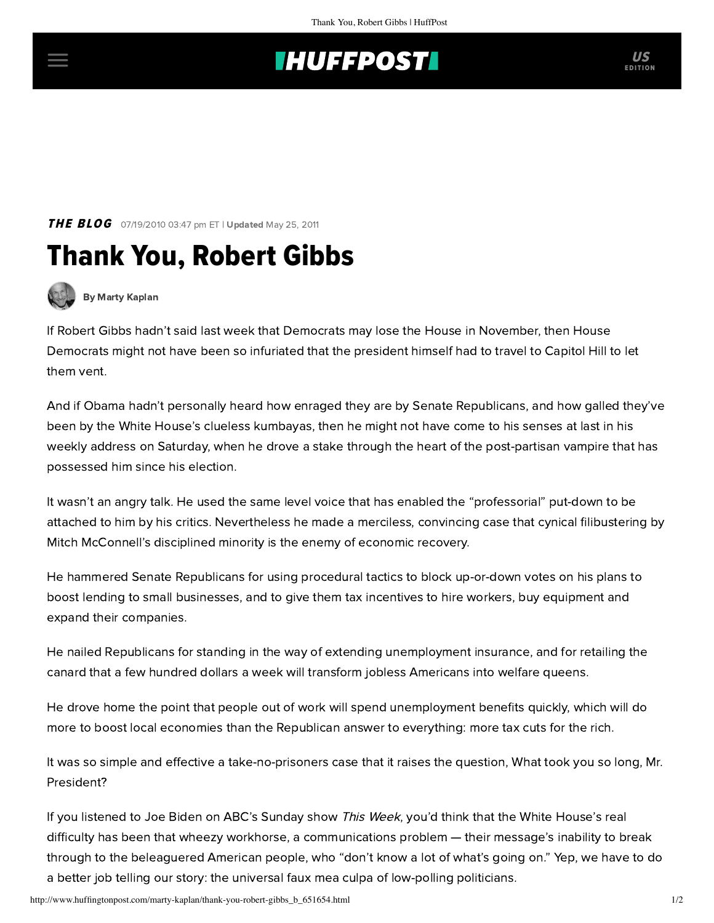## **THUFFPOST**

**THE BLOG** 07/19/2010 03:47 pm ET | Updated May 25, 2011

## Thank You, Robert Gibbs



[By Marty Kaplan](http://www.huffingtonpost.com/author/marty-kaplan)

If Robert Gibbs hadn't said last week that Democrats may lose the House in November, then House Democrats might not have been so infuriated that the president himself had to travel to Capitol Hill to let them vent.

And if Obama hadn't personally heard how enraged they are by Senate Republicans, and how galled they've been by the White House's clueless kumbayas, then he might not have come to his senses at last in his [weekly address](http://www.whitehouse.gov/blog/2010/07/17/weekly-address-filibustering-recovery-obstructing-progress) on Saturday, when he drove a stake through the heart of the post-partisan vampire that has possessed him since his election.

It wasn't an angry talk. He used the same level voice that has enabled the "professorial" put-down to be attached to him by his critics. Nevertheless he made a merciless, convincing case that cynical filibustering by Mitch McConnell's disciplined minority is the enemy of economic recovery.

He hammered Senate Republicans for using procedural tactics to block up-or-down votes on his plans to boost lending to small businesses, and to give them tax incentives to hire workers, buy equipment and expand their companies.

He nailed Republicans for standing in the way of extending unemployment insurance, and for retailing the canard that a few hundred dollars a week will transform jobless Americans into welfare queens.

He drove home the point that people out of work will spend unemployment benefits quickly, which will do more to boost local economies than the Republican answer to everything: more tax cuts for the rich.

It was so simple and effective a take-no-prisoners case that it raises the question, What took you so long, Mr. President?

If you listened to [Joe Biden on ABC's Sunday show](http://abcnews.go.com/ThisWeek/week-transcript-biden/story?id=11191222) This Week, you'd think that the White House's real difficulty has been that wheezy workhorse, a communications problem — their message's inability to break through to the beleaguered American people, who "don't know a lot of what's going on." Yep, we have to do a better job telling our story: the universal faux mea culpa of low-polling politicians.